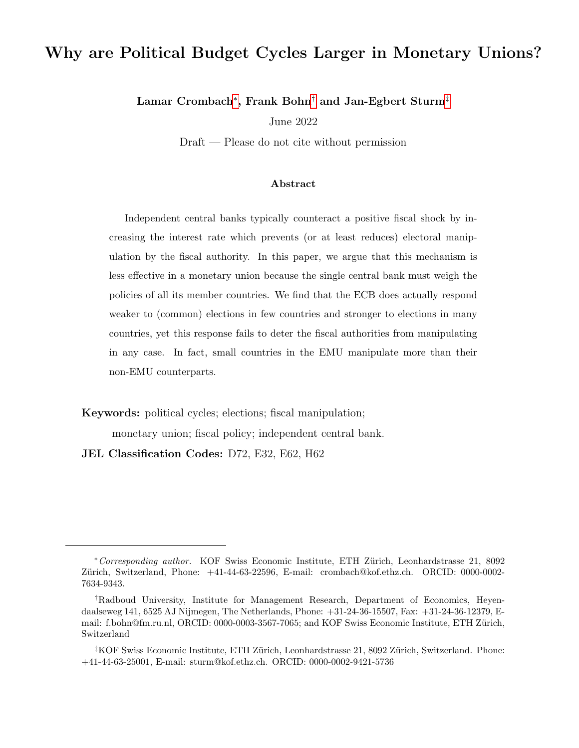# Why are Political Budget Cycles Larger in Monetary Unions?

Lamar Crombach $^*$ , Frank Bohn $^\dagger$  and Jan-Egbert Sturm $^\ddagger$ 

June 2022

Draft — Please do not cite without permission

#### Abstract

Independent central banks typically counteract a positive fiscal shock by increasing the interest rate which prevents (or at least reduces) electoral manipulation by the fiscal authority. In this paper, we argue that this mechanism is less effective in a monetary union because the single central bank must weigh the policies of all its member countries. We find that the ECB does actually respond weaker to (common) elections in few countries and stronger to elections in many countries, yet this response fails to deter the fiscal authorities from manipulating in any case. In fact, small countries in the EMU manipulate more than their non-EMU counterparts.

Keywords: political cycles; elections; fiscal manipulation;

monetary union; fiscal policy; independent central bank.

JEL Classification Codes: D72, E32, E62, H62

<span id="page-0-0"></span><sup>∗</sup>Corresponding author. KOF Swiss Economic Institute, ETH Z¨urich, Leonhardstrasse 21, 8092 Zürich, Switzerland, Phone:  $+41-44-63-22596$ , E-mail: crombach@kof.ethz.ch. ORCID: 0000-0002-7634-9343.

<span id="page-0-1"></span><sup>†</sup>Radboud University, Institute for Management Research, Department of Economics, Heyendaalseweg 141, 6525 AJ Nijmegen, The Netherlands, Phone: +31-24-36-15507, Fax: +31-24-36-12379, Email: f.bohn@fm.ru.nl, ORCID: 0000-0003-3567-7065; and KOF Swiss Economic Institute, ETH Zürich, Switzerland

<span id="page-0-2"></span> ${}^{4}$ KOF Swiss Economic Institute, ETH Zürich, Leonhardstrasse 21, 8092 Zürich, Switzerland. Phone: +41-44-63-25001, E-mail: sturm@kof.ethz.ch. ORCID: 0000-0002-9421-5736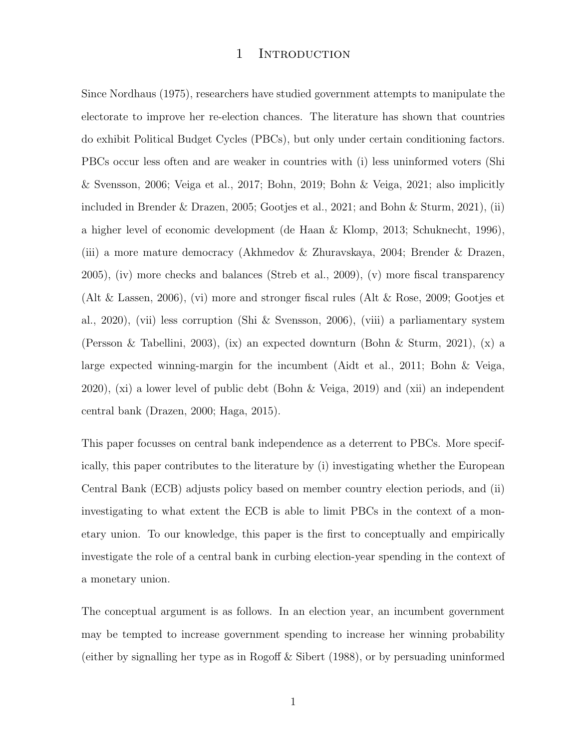### 1 INTRODUCTION

Since Nordhaus (1975), researchers have studied government attempts to manipulate the electorate to improve her re-election chances. The literature has shown that countries do exhibit Political Budget Cycles (PBCs), but only under certain conditioning factors. PBCs occur less often and are weaker in countries with (i) less uninformed voters (Shi & Svensson, 2006; Veiga et al., 2017; Bohn, 2019; Bohn & Veiga, 2021; also implicitly included in Brender & Drazen, 2005; Gootjes et al., 2021; and Bohn & Sturm, 2021), (ii) a higher level of economic development (de Haan & Klomp, 2013; Schuknecht, 1996), (iii) a more mature democracy (Akhmedov & Zhuravskaya, 2004; Brender & Drazen, 2005), (iv) more checks and balances (Streb et al., 2009), (v) more fiscal transparency (Alt & Lassen, 2006), (vi) more and stronger fiscal rules (Alt & Rose, 2009; Gootjes et al., 2020), (vii) less corruption (Shi & Svensson, 2006), (viii) a parliamentary system (Persson & Tabellini, 2003), (ix) an expected downturn (Bohn & Sturm, 2021), (x) a large expected winning-margin for the incumbent (Aidt et al., 2011; Bohn & Veiga, 2020), (xi) a lower level of public debt (Bohn & Veiga, 2019) and (xii) an independent central bank (Drazen, 2000; Haga, 2015).

This paper focusses on central bank independence as a deterrent to PBCs. More specifically, this paper contributes to the literature by (i) investigating whether the European Central Bank (ECB) adjusts policy based on member country election periods, and (ii) investigating to what extent the ECB is able to limit PBCs in the context of a monetary union. To our knowledge, this paper is the first to conceptually and empirically investigate the role of a central bank in curbing election-year spending in the context of a monetary union.

The conceptual argument is as follows. In an election year, an incumbent government may be tempted to increase government spending to increase her winning probability (either by signalling her type as in Rogoff & Sibert (1988), or by persuading uninformed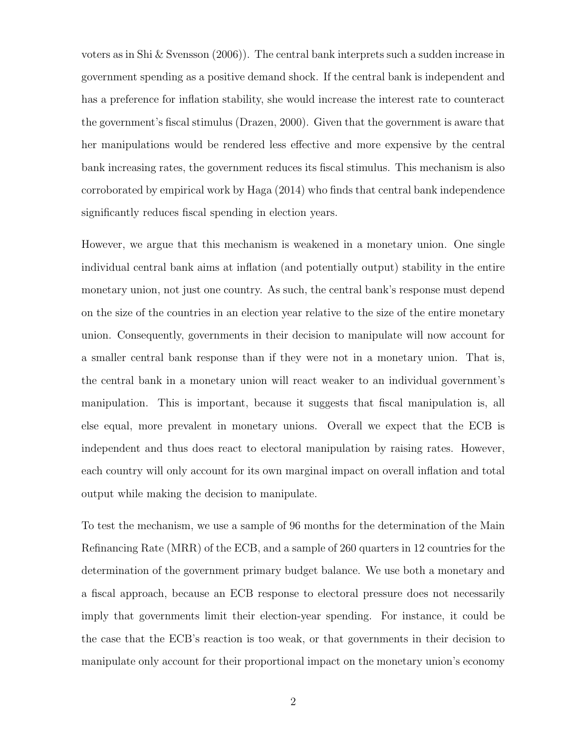voters as in Shi & Svensson (2006)). The central bank interprets such a sudden increase in government spending as a positive demand shock. If the central bank is independent and has a preference for inflation stability, she would increase the interest rate to counteract the government's fiscal stimulus (Drazen, 2000). Given that the government is aware that her manipulations would be rendered less effective and more expensive by the central bank increasing rates, the government reduces its fiscal stimulus. This mechanism is also corroborated by empirical work by Haga (2014) who finds that central bank independence significantly reduces fiscal spending in election years.

However, we argue that this mechanism is weakened in a monetary union. One single individual central bank aims at inflation (and potentially output) stability in the entire monetary union, not just one country. As such, the central bank's response must depend on the size of the countries in an election year relative to the size of the entire monetary union. Consequently, governments in their decision to manipulate will now account for a smaller central bank response than if they were not in a monetary union. That is, the central bank in a monetary union will react weaker to an individual government's manipulation. This is important, because it suggests that fiscal manipulation is, all else equal, more prevalent in monetary unions. Overall we expect that the ECB is independent and thus does react to electoral manipulation by raising rates. However, each country will only account for its own marginal impact on overall inflation and total output while making the decision to manipulate.

To test the mechanism, we use a sample of 96 months for the determination of the Main Refinancing Rate (MRR) of the ECB, and a sample of 260 quarters in 12 countries for the determination of the government primary budget balance. We use both a monetary and a fiscal approach, because an ECB response to electoral pressure does not necessarily imply that governments limit their election-year spending. For instance, it could be the case that the ECB's reaction is too weak, or that governments in their decision to manipulate only account for their proportional impact on the monetary union's economy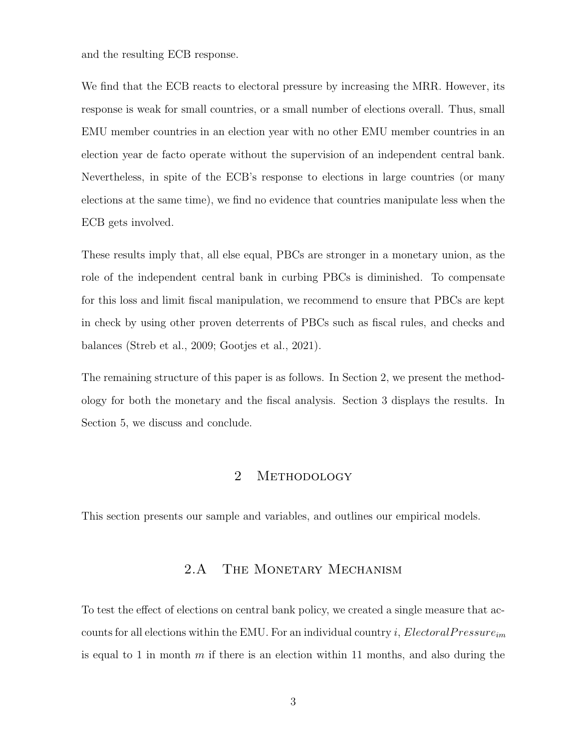and the resulting ECB response.

We find that the ECB reacts to electoral pressure by increasing the MRR. However, its response is weak for small countries, or a small number of elections overall. Thus, small EMU member countries in an election year with no other EMU member countries in an election year de facto operate without the supervision of an independent central bank. Nevertheless, in spite of the ECB's response to elections in large countries (or many elections at the same time), we find no evidence that countries manipulate less when the ECB gets involved.

These results imply that, all else equal, PBCs are stronger in a monetary union, as the role of the independent central bank in curbing PBCs is diminished. To compensate for this loss and limit fiscal manipulation, we recommend to ensure that PBCs are kept in check by using other proven deterrents of PBCs such as fiscal rules, and checks and balances (Streb et al., 2009; Gootjes et al., 2021).

The remaining structure of this paper is as follows. In Section 2, we present the methodology for both the monetary and the fiscal analysis. Section 3 displays the results. In Section 5, we discuss and conclude.

# 2 METHODOLOGY

This section presents our sample and variables, and outlines our empirical models.

# 2.A THE MONETARY MECHANISM

To test the effect of elections on central bank policy, we created a single measure that accounts for all elections within the EMU. For an individual country i, Electoral Pressure<sub>im</sub> is equal to 1 in month  $m$  if there is an election within 11 months, and also during the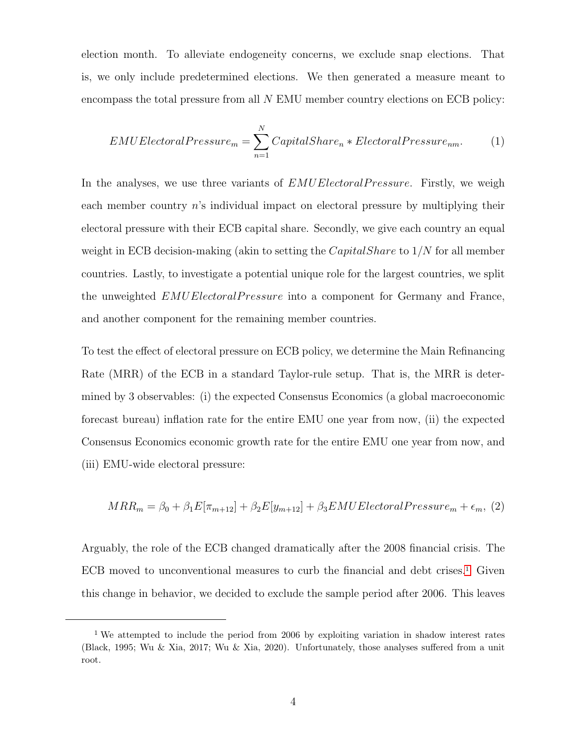election month. To alleviate endogeneity concerns, we exclude snap elections. That is, we only include predetermined elections. We then generated a measure meant to encompass the total pressure from all N EMU member country elections on ECB policy:

$$
EMUElectoral Pressure_m = \sum_{n=1}^{N} CapitalShare_n * ElectricalPressure_{nm}.
$$
 (1)

In the analyses, we use three variants of  $EMUElectoral Pressure$ . Firstly, we weigh each member country  $n$ 's individual impact on electoral pressure by multiplying their electoral pressure with their ECB capital share. Secondly, we give each country an equal weight in ECB decision-making (akin to setting the *CapitalShare* to  $1/N$  for all member countries. Lastly, to investigate a potential unique role for the largest countries, we split the unweighted EMUElectoralPressure into a component for Germany and France, and another component for the remaining member countries.

To test the effect of electoral pressure on ECB policy, we determine the Main Refinancing Rate (MRR) of the ECB in a standard Taylor-rule setup. That is, the MRR is determined by 3 observables: (i) the expected Consensus Economics (a global macroeconomic forecast bureau) inflation rate for the entire EMU one year from now, (ii) the expected Consensus Economics economic growth rate for the entire EMU one year from now, and (iii) EMU-wide electoral pressure:

<span id="page-4-1"></span>
$$
MRR_m = \beta_0 + \beta_1 E[\pi_{m+12}] + \beta_2 E[y_{m+12}] + \beta_3 EMUElectoral Pressure_m + \epsilon_m, (2)
$$

Arguably, the role of the ECB changed dramatically after the 2008 financial crisis. The  $ECB$  moved to unconventional measures to curb the financial and debt crises.<sup>[1](#page-4-0)</sup> Given this change in behavior, we decided to exclude the sample period after 2006. This leaves

<span id="page-4-0"></span><sup>&</sup>lt;sup>1</sup> We attempted to include the period from 2006 by exploiting variation in shadow interest rates (Black, 1995; Wu & Xia, 2017; Wu & Xia, 2020). Unfortunately, those analyses suffered from a unit root.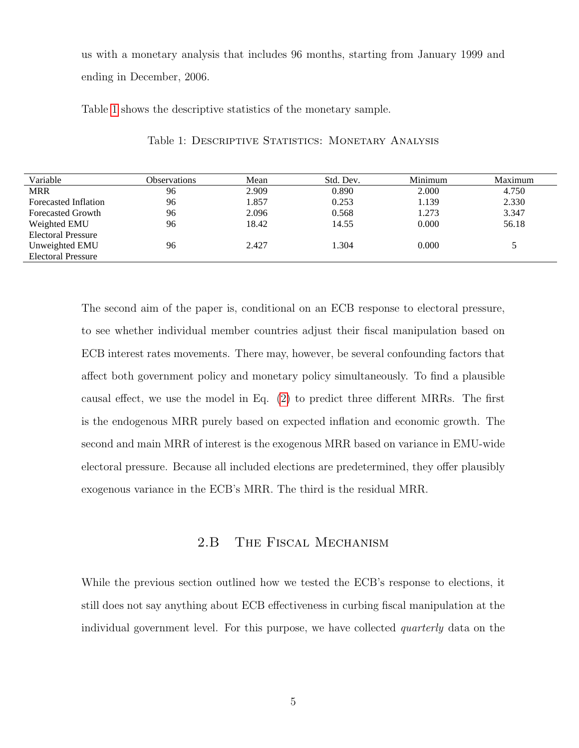us with a monetary analysis that includes 96 months, starting from January 1999 and ending in December, 2006.

<span id="page-5-0"></span>Table [1](#page-5-0) shows the descriptive statistics of the monetary sample.

| Variable                  | <b>Observations</b> | Mean  | Std. Dev. | Minimum | Maximum |
|---------------------------|---------------------|-------|-----------|---------|---------|
| <b>MRR</b>                | 96                  | 2.909 | 0.890     | 2.000   | 4.750   |
| Forecasted Inflation      | 96                  | 1.857 | 0.253     | 1.139   | 2.330   |
| <b>Forecasted Growth</b>  | 96                  | 2.096 | 0.568     | 1.273   | 3.347   |
| Weighted EMU              | 96                  | 18.42 | 14.55     | 0.000   | 56.18   |
| <b>Electoral Pressure</b> |                     |       |           |         |         |
| Unweighted EMU            | 96                  | 2.427 | 1.304     | 0.000   |         |
| <b>Electoral Pressure</b> |                     |       |           |         |         |

Table 1: DESCRIPTIVE STATISTICS: MONETARY ANALYSIS

The second aim of the paper is, conditional on an ECB response to electoral pressure, to see whether individual member countries adjust their fiscal manipulation based on ECB interest rates movements. There may, however, be several confounding factors that affect both government policy and monetary policy simultaneously. To find a plausible causal effect, we use the model in Eq. [\(2\)](#page-4-1) to predict three different MRRs. The first is the endogenous MRR purely based on expected inflation and economic growth. The second and main MRR of interest is the exogenous MRR based on variance in EMU-wide electoral pressure. Because all included elections are predetermined, they offer plausibly exogenous variance in the ECB's MRR. The third is the residual MRR.

# 2.B The Fiscal Mechanism

While the previous section outlined how we tested the ECB's response to elections, it still does not say anything about ECB effectiveness in curbing fiscal manipulation at the individual government level. For this purpose, we have collected quarterly data on the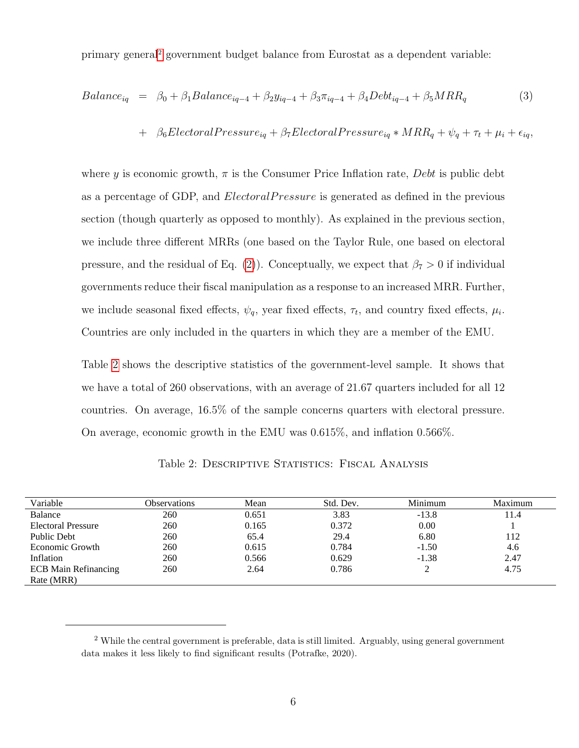primary general[2](#page-6-0) government budget balance from Eurostat as a dependent variable:

$$
Balance_{iq} = \beta_0 + \beta_1 Balance_{iq-4} + \beta_2 y_{iq-4} + \beta_3 \pi_{iq-4} + \beta_4 Debt_{iq-4} + \beta_5 MRR_q
$$
 (3)

+ 
$$
\beta_6Electoral Pressure_{iq} + \beta_7Electoral Pressure_{iq} * MRR_q + \psi_q + \tau_t + \mu_i + \epsilon_{iq}
$$

where y is economic growth,  $\pi$  is the Consumer Price Inflation rate, *Debt* is public debt as a percentage of GDP, and *ElectoralPressure* is generated as defined in the previous section (though quarterly as opposed to monthly). As explained in the previous section, we include three different MRRs (one based on the Taylor Rule, one based on electoral pressure, and the residual of Eq. [\(2\)](#page-4-1)). Conceptually, we expect that  $\beta_7 > 0$  if individual governments reduce their fiscal manipulation as a response to an increased MRR. Further, we include seasonal fixed effects,  $\psi_q$ , year fixed effects,  $\tau_t$ , and country fixed effects,  $\mu_i$ . Countries are only included in the quarters in which they are a member of the EMU.

Table [2](#page-6-1) shows the descriptive statistics of the government-level sample. It shows that we have a total of 260 observations, with an average of 21.67 quarters included for all 12 countries. On average, 16.5% of the sample concerns quarters with electoral pressure. On average, economic growth in the EMU was 0.615%, and inflation 0.566%.

| Variable                    | Observations | Mean  | Std. Dev. | Minimum | Maximum |
|-----------------------------|--------------|-------|-----------|---------|---------|
| Balance                     | 260          | 0.651 | 3.83      | $-13.8$ | 11.4    |
| <b>Electoral Pressure</b>   | 260          | 0.165 | 0.372     | 0.00    |         |
| Public Debt                 | 260          | 65.4  | 29.4      | 6.80    | 112     |
| Economic Growth             | 260          | 0.615 | 0.784     | $-1.50$ | 4.6     |
| Inflation                   | 260          | 0.566 | 0.629     | $-1.38$ | 2.47    |
| <b>ECB</b> Main Refinancing | 260          | 2.64  | 0.786     | ↑<br>∠  | 4.75    |
| Rate (MRR)                  |              |       |           |         |         |

<span id="page-6-1"></span>Table 2: DESCRIPTIVE STATISTICS: FISCAL ANALYSIS

<span id="page-6-0"></span><sup>2</sup> While the central government is preferable, data is still limited. Arguably, using general government data makes it less likely to find significant results (Potrafke, 2020).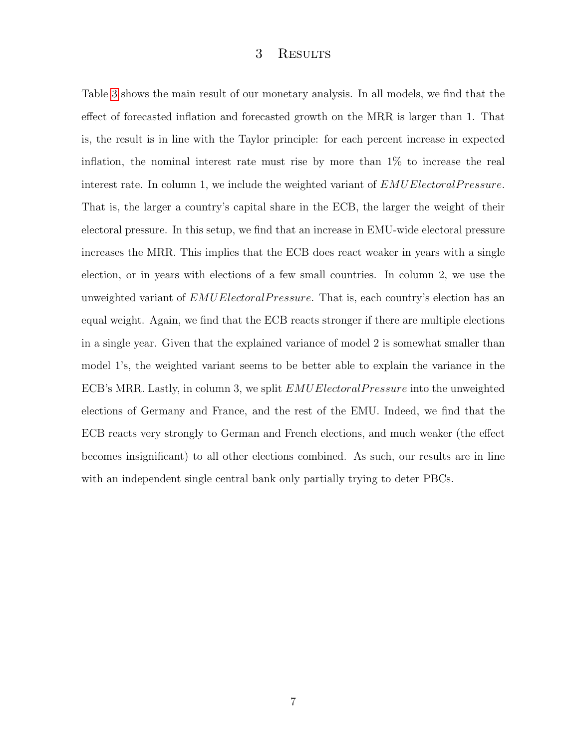## 3 Results

Table [3](#page-8-0) shows the main result of our monetary analysis. In all models, we find that the effect of forecasted inflation and forecasted growth on the MRR is larger than 1. That is, the result is in line with the Taylor principle: for each percent increase in expected inflation, the nominal interest rate must rise by more than 1% to increase the real interest rate. In column 1, we include the weighted variant of  $EMUElectron lPressure$ . That is, the larger a country's capital share in the ECB, the larger the weight of their electoral pressure. In this setup, we find that an increase in EMU-wide electoral pressure increases the MRR. This implies that the ECB does react weaker in years with a single election, or in years with elections of a few small countries. In column 2, we use the unweighted variant of EMUE lectoral Pressure. That is, each country's election has an equal weight. Again, we find that the ECB reacts stronger if there are multiple elections in a single year. Given that the explained variance of model 2 is somewhat smaller than model 1's, the weighted variant seems to be better able to explain the variance in the ECB's MRR. Lastly, in column 3, we split  $EMUElectoral Pressure$  into the unweighted elections of Germany and France, and the rest of the EMU. Indeed, we find that the ECB reacts very strongly to German and French elections, and much weaker (the effect becomes insignificant) to all other elections combined. As such, our results are in line with an independent single central bank only partially trying to deter PBCs.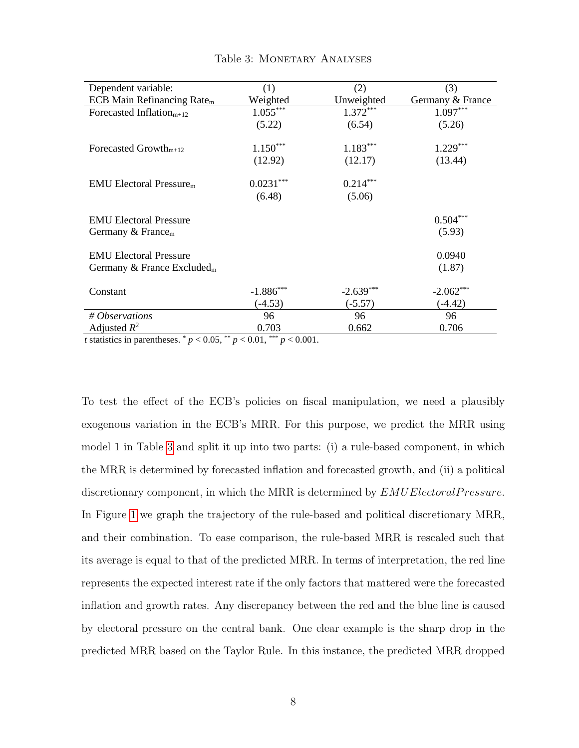<span id="page-8-0"></span>

| Dependent variable:                    | (1)         | (2)         | (3)              |
|----------------------------------------|-------------|-------------|------------------|
| ECB Main Refinancing Rate $m$          | Weighted    | Unweighted  | Germany & France |
| Forecasted Inflation <sub>m+12</sub>   | $1.055***$  | $1.372***$  | $1.097***$       |
|                                        | (5.22)      | (6.54)      | (5.26)           |
| Forecasted Growth <sub>m+12</sub>      | $1.150***$  | $1.183***$  | $1.229***$       |
|                                        | (12.92)     | (12.17)     | (13.44)          |
| $EMU$ Electoral Pressure <sub>m</sub>  | $0.0231***$ | $0.214***$  |                  |
|                                        | (6.48)      | (5.06)      |                  |
| <b>EMU Electoral Pressure</b>          |             |             | $0.504***$       |
| Germany $&$ France <sub>m</sub>        |             |             | (5.93)           |
| <b>EMU Electoral Pressure</b>          |             |             | 0.0940           |
| Germany & France Excluded <sub>m</sub> |             |             | (1.87)           |
| Constant                               | $-1.886***$ | $-2.639***$ | $-2.062***$      |
|                                        | $(-4.53)$   | $(-5.57)$   | $(-4.42)$        |
| # Observations                         | 96          | 96          | 96               |
| Adjusted $R^2$                         | 0.703       | 0.662       | 0.706            |

#### Table 3: MONETARY ANALYSES

*t* statistics in parentheses.  $p < 0.05$ ,  $p < 0.01$ ,  $p < 0.001$ .

To test the effect of the ECB's policies on fiscal manipulation, we need a plausibly exogenous variation in the ECB's MRR. For this purpose, we predict the MRR using model 1 in Table [3](#page-8-0) and split it up into two parts: (i) a rule-based component, in which the MRR is determined by forecasted inflation and forecasted growth, and (ii) a political discretionary component, in which the MRR is determined by  $EMUElectron lPressure$ . In Figure [1](#page-9-0) we graph the trajectory of the rule-based and political discretionary MRR, and their combination. To ease comparison, the rule-based MRR is rescaled such that its average is equal to that of the predicted MRR. In terms of interpretation, the red line represents the expected interest rate if the only factors that mattered were the forecasted inflation and growth rates. Any discrepancy between the red and the blue line is caused by electoral pressure on the central bank. One clear example is the sharp drop in the predicted MRR based on the Taylor Rule. In this instance, the predicted MRR dropped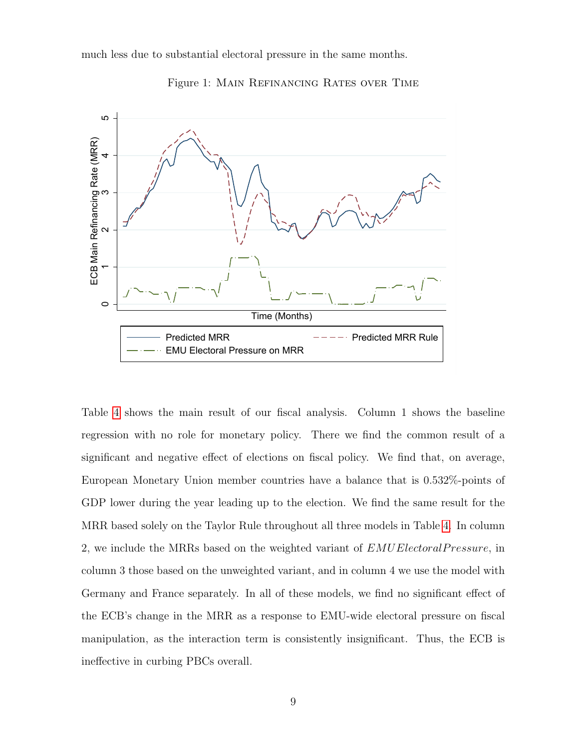<span id="page-9-0"></span>much less due to substantial electoral pressure in the same months.



Figure 1: Main Refinancing Rates over Time

Table [4](#page-10-0) shows the main result of our fiscal analysis. Column 1 shows the baseline regression with no role for monetary policy. There we find the common result of a significant and negative effect of elections on fiscal policy. We find that, on average, European Monetary Union member countries have a balance that is 0.532%-points of GDP lower during the year leading up to the election. We find the same result for the MRR based solely on the Taylor Rule throughout all three models in Table [4.](#page-10-0) In column 2, we include the MRRs based on the weighted variant of  $EMUElectronlPressure$ , in column 3 those based on the unweighted variant, and in column 4 we use the model with Germany and France separately. In all of these models, we find no significant effect of the ECB's change in the MRR as a response to EMU-wide electoral pressure on fiscal manipulation, as the interaction term is consistently insignificant. Thus, the ECB is ineffective in curbing PBCs overall.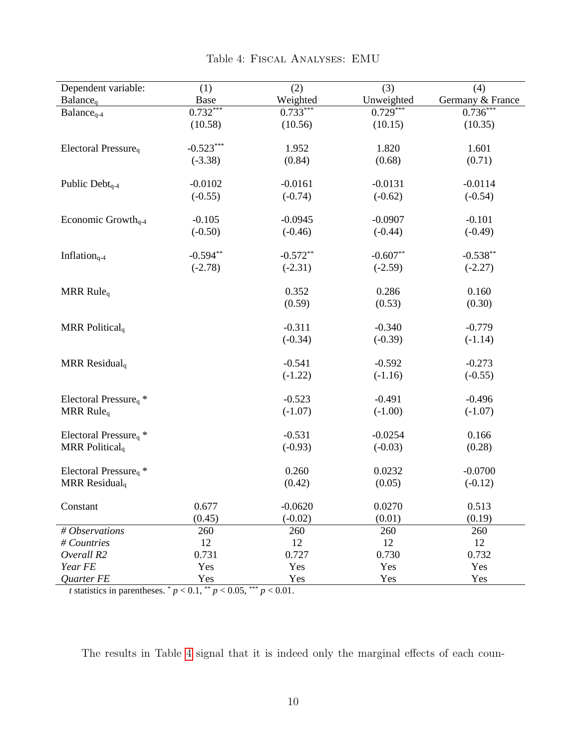<span id="page-10-0"></span>

| Dependent variable:                          | (1)         | (2)        | (3)        | (4)              |
|----------------------------------------------|-------------|------------|------------|------------------|
| Balance <sub>q</sub>                         | Base        | Weighted   | Unweighted | Germany & France |
| $Balanceq-4$                                 | $0.732***$  | $0.733***$ | $0.729***$ | $0.736***$       |
|                                              | (10.58)     | (10.56)    | (10.15)    | (10.35)          |
|                                              |             |            |            |                  |
| Electoral Pressure <sub>q</sub>              | $-0.523***$ | 1.952      | 1.820      | 1.601            |
|                                              | $(-3.38)$   | (0.84)     | (0.68)     | (0.71)           |
|                                              |             |            |            |                  |
| Public Debt <sub>q-4</sub>                   | $-0.0102$   | $-0.0161$  | $-0.0131$  | $-0.0114$        |
|                                              | $(-0.55)$   | $(-0.74)$  | $(-0.62)$  | $(-0.54)$        |
| Economic Growth <sub>q-4</sub>               | $-0.105$    | $-0.0945$  | $-0.0907$  | $-0.101$         |
|                                              | $(-0.50)$   | $(-0.46)$  | $(-0.44)$  | $(-0.49)$        |
|                                              |             |            |            |                  |
| Inflation <sub>q-4</sub>                     | $-0.594**$  | $-0.572**$ | $-0.607**$ | $-0.538**$       |
|                                              | $(-2.78)$   | $(-2.31)$  | $(-2.59)$  | $(-2.27)$        |
|                                              |             |            |            |                  |
| MRR Rule <sub>q</sub>                        |             | 0.352      | 0.286      | 0.160            |
|                                              |             | (0.59)     | (0.53)     | (0.30)           |
|                                              |             |            |            |                  |
| MRR Political <sub>q</sub>                   |             | $-0.311$   | $-0.340$   | $-0.779$         |
|                                              |             | $(-0.34)$  | $(-0.39)$  | $(-1.14)$        |
| MRR Residual <sub>q</sub>                    |             | $-0.541$   | $-0.592$   | $-0.273$         |
|                                              |             | $(-1.22)$  | $(-1.16)$  | $(-0.55)$        |
|                                              |             |            |            |                  |
| Electoral Pressure <sub>q</sub> <sup>*</sup> |             | $-0.523$   | $-0.491$   | $-0.496$         |
| MRR Rule <sub>q</sub>                        |             | $(-1.07)$  | $(-1.00)$  | $(-1.07)$        |
|                                              |             |            |            |                  |
| Electoral Pressure <sub>q</sub> <sup>*</sup> |             | $-0.531$   | $-0.0254$  | 0.166            |
| MRR Political <sub>q</sub>                   |             | $(-0.93)$  | $(-0.03)$  | (0.28)           |
|                                              |             | 0.260      | 0.0232     | $-0.0700$        |
| Electoral Pressure <sub>q</sub> <sup>*</sup> |             |            |            |                  |
| MRR Residual <sub>q</sub>                    |             | (0.42)     | (0.05)     | $(-0.12)$        |
| Constant                                     | 0.677       | $-0.0620$  | 0.0270     | 0.513            |
|                                              | (0.45)      | $(-0.02)$  | (0.01)     | (0.19)           |
| # Observations                               | 260         | 260        | 260        | 260              |
| # Countries                                  | 12          | 12         | 12         | 12               |
| Overall R2                                   | 0.731       | 0.727      | 0.730      | 0.732            |
| Year FE                                      | Yes         | Yes        | Yes        | Yes              |
| Quarter FE                                   | Yes         | Yes        | Yes        | Yes              |

# Table 4: Fiscal Analyses: EMU

*t* statistics in parentheses.  $p < 0.1$ ,  $p < 0.05$ ,  $p > 0.01$ .

The results in Table [4](#page-10-0) signal that it is indeed only the marginal effects of each coun-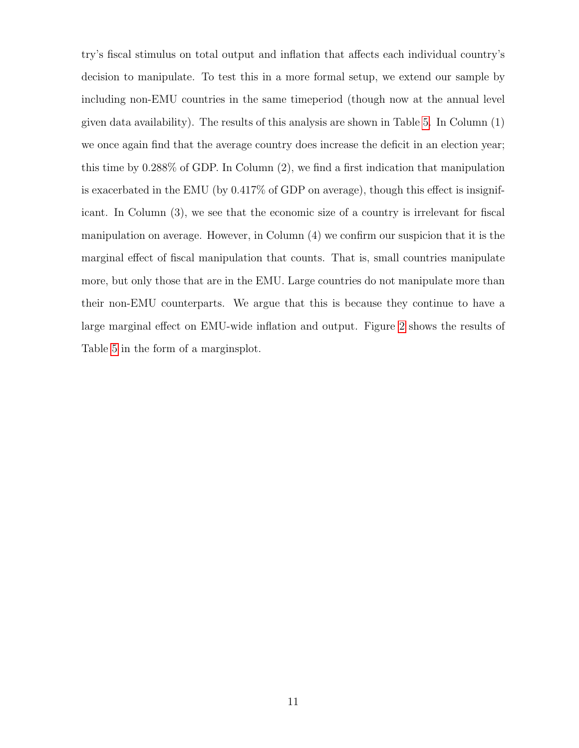try's fiscal stimulus on total output and inflation that affects each individual country's decision to manipulate. To test this in a more formal setup, we extend our sample by including non-EMU countries in the same timeperiod (though now at the annual level given data availability). The results of this analysis are shown in Table [5.](#page-12-0) In Column (1) we once again find that the average country does increase the deficit in an election year; this time by 0.288% of GDP. In Column (2), we find a first indication that manipulation is exacerbated in the EMU (by 0.417% of GDP on average), though this effect is insignificant. In Column (3), we see that the economic size of a country is irrelevant for fiscal manipulation on average. However, in Column (4) we confirm our suspicion that it is the marginal effect of fiscal manipulation that counts. That is, small countries manipulate more, but only those that are in the EMU. Large countries do not manipulate more than their non-EMU counterparts. We argue that this is because they continue to have a large marginal effect on EMU-wide inflation and output. Figure [2](#page-13-0) shows the results of Table [5](#page-12-0) in the form of a marginsplot.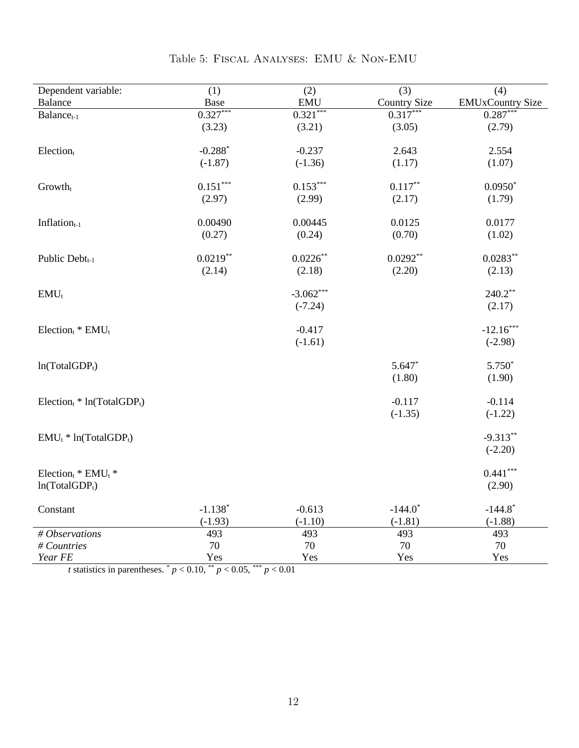<span id="page-12-0"></span>

| Dependent variable:               | (1)        | (2)         | (3)          | (4)                     |
|-----------------------------------|------------|-------------|--------------|-------------------------|
| <b>Balance</b>                    | Base       | <b>EMU</b>  | Country Size | <b>EMUxCountry Size</b> |
| $Balance_{t-1}$                   | $0.327***$ | $0.321***$  | $0.317***$   | $0.287***$              |
|                                   | (3.23)     | (3.21)      | (3.05)       | (2.79)                  |
| Election                          | $-0.288*$  | $-0.237$    | 2.643        | 2.554                   |
|                                   | $(-1.87)$  | $(-1.36)$   | (1.17)       | (1.07)                  |
| $Growth_t$                        | $0.151***$ | $0.153***$  | $0.117***$   | $0.0950*$               |
|                                   | (2.97)     | (2.99)      | (2.17)       | (1.79)                  |
| Inflation $_{t-1}$                | 0.00490    | 0.00445     | 0.0125       | 0.0177                  |
|                                   | (0.27)     | (0.24)      | (0.70)       | (1.02)                  |
| Public Debt <sub>t-1</sub>        | $0.0219**$ | $0.0226**$  | $0.0292**$   | $0.0283**$              |
|                                   | (2.14)     | (2.18)      | (2.20)       | (2.13)                  |
| $EMU_t$                           |            | $-3.062***$ |              | $240.2**$               |
|                                   |            | $(-7.24)$   |              | (2.17)                  |
| $Election_t * EMU_t$              |            | $-0.417$    |              | $-12.16***$             |
|                                   |            | $(-1.61)$   |              | $(-2.98)$               |
| $ln(TotalGDP_t)$                  |            |             | $5.647*$     | $5.750*$                |
|                                   |            |             | (1.80)       | (1.90)                  |
| $Electron_t * ln(TotalGDP_t)$     |            |             | $-0.117$     | $-0.114$                |
|                                   |            |             | $(-1.35)$    | $(-1.22)$               |
| $EMU_t * ln(TotalGDP_t)$          |            |             |              | $-9.313**$              |
|                                   |            |             |              | $(-2.20)$               |
| Election <sub>t</sub> * $EMU_t$ * |            |             |              | $0.441***$              |
| $ln(TotalGDP_t)$                  |            |             |              | (2.90)                  |
| Constant                          | $-1.138*$  | $-0.613$    | $-144.0*$    | $-144.8$ <sup>*</sup>   |
|                                   | $(-1.93)$  | $(-1.10)$   | $(-1.81)$    | $(-1.88)$               |
| # Observations                    | 493        | 493         | 493          | 493                     |
| # Countries                       | $70\,$     | 70          | 70           | $70\,$                  |
| Year FE                           | Yes        | Yes         | Yes          | Yes                     |

Table 5: Fiscal Analyses: EMU & Non-EMU

*t* statistics in parentheses.  $p < 0.10$ ,  $\binom{**}{r} < 0.05$ ,  $\binom{***}{r} < 0.01$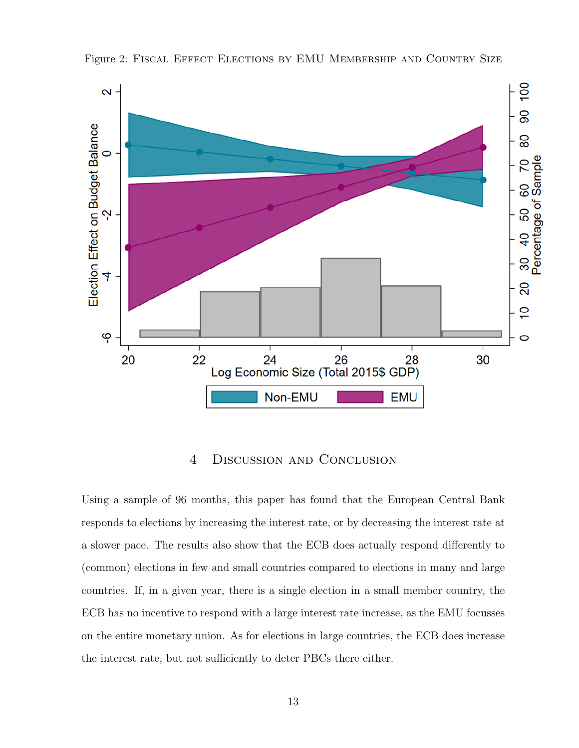

<span id="page-13-0"></span>Figure 2: FISCAL EFFECT ELECTIONS BY EMU MEMBERSHIP AND COUNTRY SIZE

#### 4 Discussion and Conclusion

Using a sample of 96 months, this paper has found that the European Central Bank responds to elections by increasing the interest rate, or by decreasing the interest rate at a slower pace. The results also show that the ECB does actually respond differently to (common) elections in few and small countries compared to elections in many and large countries. If, in a given year, there is a single election in a small member country, the ECB has no incentive to respond with a large interest rate increase, as the EMU focusses on the entire monetary union. As for elections in large countries, the ECB does increase the interest rate, but not sufficiently to deter PBCs there either.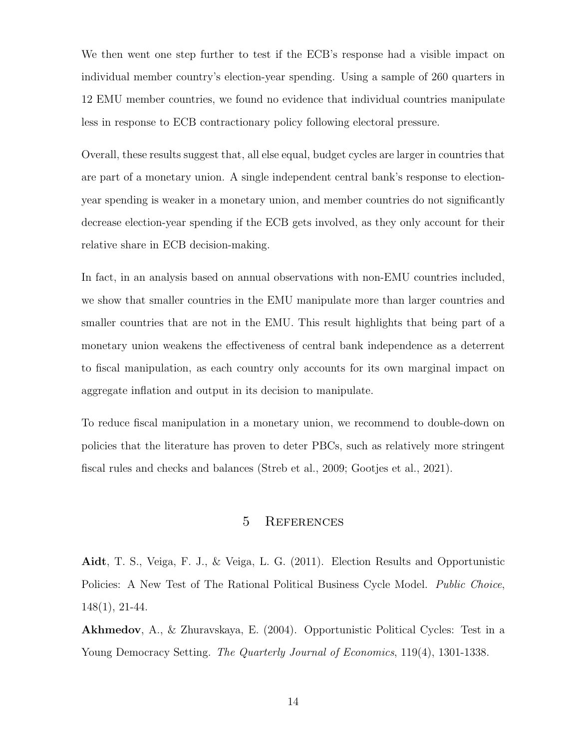We then went one step further to test if the ECB's response had a visible impact on individual member country's election-year spending. Using a sample of 260 quarters in 12 EMU member countries, we found no evidence that individual countries manipulate less in response to ECB contractionary policy following electoral pressure.

Overall, these results suggest that, all else equal, budget cycles are larger in countries that are part of a monetary union. A single independent central bank's response to electionyear spending is weaker in a monetary union, and member countries do not significantly decrease election-year spending if the ECB gets involved, as they only account for their relative share in ECB decision-making.

In fact, in an analysis based on annual observations with non-EMU countries included, we show that smaller countries in the EMU manipulate more than larger countries and smaller countries that are not in the EMU. This result highlights that being part of a monetary union weakens the effectiveness of central bank independence as a deterrent to fiscal manipulation, as each country only accounts for its own marginal impact on aggregate inflation and output in its decision to manipulate.

To reduce fiscal manipulation in a monetary union, we recommend to double-down on policies that the literature has proven to deter PBCs, such as relatively more stringent fiscal rules and checks and balances (Streb et al., 2009; Gootjes et al., 2021).

### 5 References

Aidt, T. S., Veiga, F. J., & Veiga, L. G. (2011). Election Results and Opportunistic Policies: A New Test of The Rational Political Business Cycle Model. *Public Choice*, 148(1), 21-44.

Akhmedov, A., & Zhuravskaya, E. (2004). Opportunistic Political Cycles: Test in a Young Democracy Setting. The Quarterly Journal of Economics, 119(4), 1301-1338.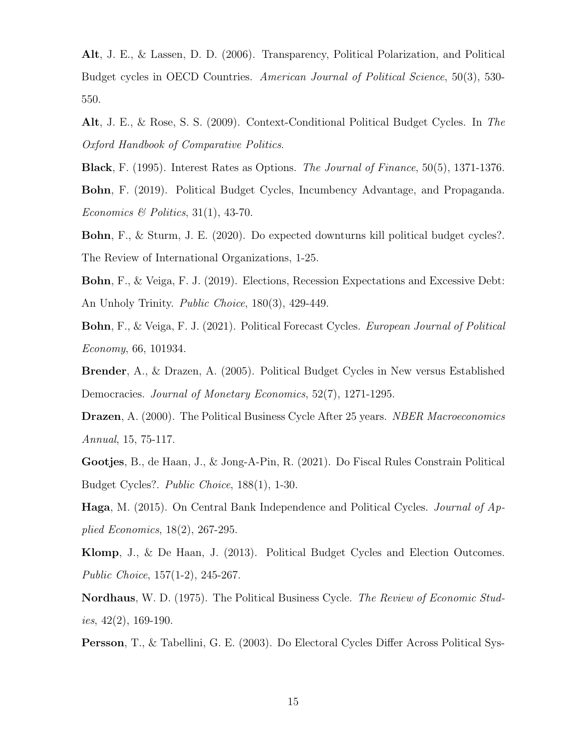Alt, J. E., & Lassen, D. D. (2006). Transparency, Political Polarization, and Political Budget cycles in OECD Countries. American Journal of Political Science, 50(3), 530- 550.

Alt, J. E., & Rose, S. S. (2009). Context-Conditional Political Budget Cycles. In The Oxford Handbook of Comparative Politics.

Black, F. (1995). Interest Rates as Options. The Journal of Finance, 50(5), 1371-1376.

Bohn, F. (2019). Political Budget Cycles, Incumbency Advantage, and Propaganda. Economics & Politics,  $31(1)$ ,  $43-70$ .

Bohn, F., & Sturm, J. E. (2020). Do expected downturns kill political budget cycles?. The Review of International Organizations, 1-25.

Bohn, F., & Veiga, F. J. (2019). Elections, Recession Expectations and Excessive Debt: An Unholy Trinity. Public Choice, 180(3), 429-449.

Bohn, F., & Veiga, F. J. (2021). Political Forecast Cycles. European Journal of Political Economy, 66, 101934.

Brender, A., & Drazen, A. (2005). Political Budget Cycles in New versus Established Democracies. Journal of Monetary Economics, 52(7), 1271-1295.

Drazen, A. (2000). The Political Business Cycle After 25 years. NBER Macroeconomics Annual, 15, 75-117.

Gootjes, B., de Haan, J., & Jong-A-Pin, R. (2021). Do Fiscal Rules Constrain Political Budget Cycles?. Public Choice, 188(1), 1-30.

Haga, M. (2015). On Central Bank Independence and Political Cycles. Journal of Applied Economics, 18(2), 267-295.

Klomp, J., & De Haan, J. (2013). Political Budget Cycles and Election Outcomes. Public Choice, 157(1-2), 245-267.

Nordhaus, W. D. (1975). The Political Business Cycle. The Review of Economic Studies,  $42(2)$ , 169-190.

Persson, T., & Tabellini, G. E. (2003). Do Electoral Cycles Differ Across Political Sys-